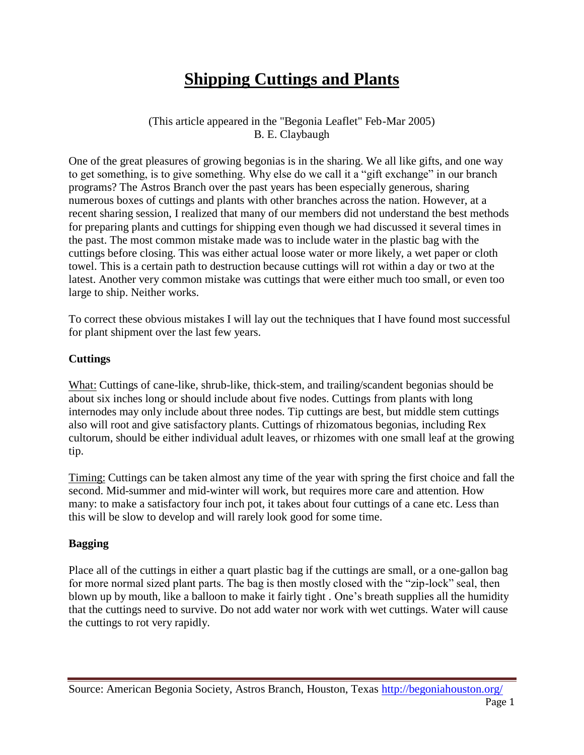# **Shipping Cuttings and Plants**

(This article appeared in the "Begonia Leaflet" Feb-Mar 2005) B. E. Claybaugh

One of the great pleasures of growing begonias is in the sharing. We all like gifts, and one way to get something, is to give something. Why else do we call it a "gift exchange" in our branch programs? The Astros Branch over the past years has been especially generous, sharing numerous boxes of cuttings and plants with other branches across the nation. However, at a recent sharing session, I realized that many of our members did not understand the best methods for preparing plants and cuttings for shipping even though we had discussed it several times in the past. The most common mistake made was to include water in the plastic bag with the cuttings before closing. This was either actual loose water or more likely, a wet paper or cloth towel. This is a certain path to destruction because cuttings will rot within a day or two at the latest. Another very common mistake was cuttings that were either much too small, or even too large to ship. Neither works.

To correct these obvious mistakes I will lay out the techniques that I have found most successful for plant shipment over the last few years.

#### **Cuttings**

What: Cuttings of cane-like, shrub-like, thick-stem, and trailing/scandent begonias should be about six inches long or should include about five nodes. Cuttings from plants with long internodes may only include about three nodes. Tip cuttings are best, but middle stem cuttings also will root and give satisfactory plants. Cuttings of rhizomatous begonias, including Rex cultorum, should be either individual adult leaves, or rhizomes with one small leaf at the growing tip.

Timing: Cuttings can be taken almost any time of the year with spring the first choice and fall the second. Mid-summer and mid-winter will work, but requires more care and attention. How many: to make a satisfactory four inch pot, it takes about four cuttings of a cane etc. Less than this will be slow to develop and will rarely look good for some time.

#### **Bagging**

Place all of the cuttings in either a quart plastic bag if the cuttings are small, or a one-gallon bag for more normal sized plant parts. The bag is then mostly closed with the "zip-lock" seal, then blown up by mouth, like a balloon to make it fairly tight . One's breath supplies all the humidity that the cuttings need to survive. Do not add water nor work with wet cuttings. Water will cause the cuttings to rot very rapidly.